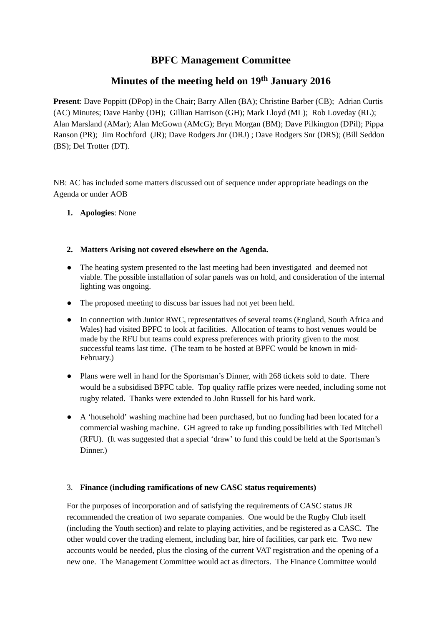## **BPFC Management Committee**

# **Minutes of the meeting held on 19 th January 2016**

**Present**: Dave Poppitt (DPop) in the Chair; Barry Allen (BA); Christine Barber (CB); Adrian Curtis (AC) Minutes; Dave Hanby (DH); Gillian Harrison (GH); Mark Lloyd (ML); Rob Loveday (RL); Alan Marsland (AMar); Alan McGown (AMcG); Bryn Morgan (BM); Dave Pilkington (DPil); Pippa Ranson (PR); Jim Rochford (JR); Dave Rodgers Jnr (DRJ) ; Dave Rodgers Snr (DRS); (Bill Seddon (BS); Del Trotter (DT).

NB: AC has included some matters discussed out of sequence under appropriate headings on the Agenda or under AOB

**1. Apologies**: None

## **2. Matters Arising not covered elsewhere on the Agenda.**

- The heating system presented to the last meeting had been investigated and deemed not viable. The possible installation of solar panels was on hold, and consideration of the internal lighting was ongoing.
- The proposed meeting to discuss bar issues had not yet been held.
- In connection with Junior RWC, representatives of several teams (England, South Africa and Wales) had visited BPFC to look at facilities. Allocation of teams to host venues would be made by the RFU but teams could express preferences with priority given to the most successful teams last time. (The team to be hosted at BPFC would be known in mid-February.)
- Plans were well in hand for the Sportsman's Dinner, with 268 tickets sold to date. There would be a subsidised BPFC table. Top quality raffle prizes were needed, including some not rugby related. Thanks were extended to John Russell for his hard work.
- A 'household' washing machine had been purchased, but no funding had been located for a commercial washing machine. GH agreed to take up funding possibilities with Ted Mitchell (RFU). (It was suggested that a special 'draw' to fund this could be held at the Sportsman's Dinner.)

## 3. **Finance (including ramifications of new CASC status requirements)**

For the purposes of incorporation and of satisfying the requirements of CASC status JR recommended the creation of two separate companies. One would be the Rugby Club itself (including the Youth section) and relate to playing activities, and be registered as a CASC. The other would cover the trading element, including bar, hire of facilities, car park etc. Two new accounts would be needed, plus the closing of the current VAT registration and the opening of a new one. The Management Committee would act as directors. The Finance Committee would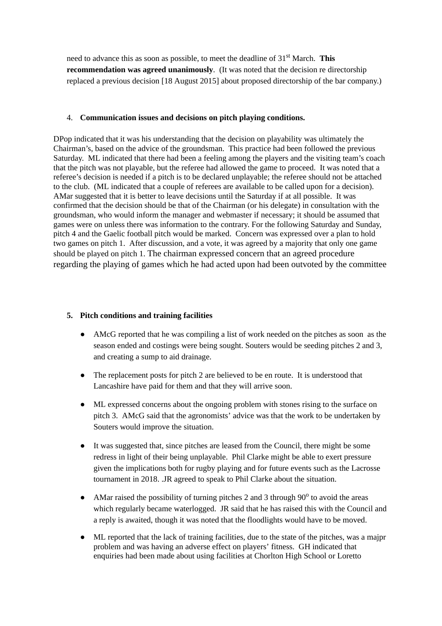need to advance this as soon as possible, to meet the deadline of 31 st March. **This recommendation was agreed unanimously**. (It was noted that the decision re directorship replaced a previous decision [18 August 2015] about proposed directorship of the bar company.)

#### 4. **Communication issues and decisions on pitch playing conditions.**

DPop indicated that it was his understanding that the decision on playability was ultimately the Chairman's, based on the advice of the groundsman. This practice had been followed the previous Saturday. ML indicated that there had been a feeling among the players and the visiting team's coach that the pitch was not playable, but the referee had allowed the game to proceed. It was noted that a referee's decision is needed if a pitch is to be declared unplayable; the referee should not be attached to the club. (ML indicated that a couple of referees are available to be called upon for a decision). AMar suggested that it is better to leave decisions until the Saturday if at all possible. It was confirmed that the decision should be that of the Chairman (or his delegate) in consultation with the groundsman, who would inform the manager and webmaster if necessary; it should be assumed that games were on unless there was information to the contrary. For the following Saturday and Sunday, pitch 4 and the Gaelic football pitch would be marked. Concern was expressed over a plan to hold two games on pitch 1. After discussion, and a vote, it was agreed by a majority that only one game should be played on pitch 1. The chairman expressed concern that an agreed procedure regarding the playing of games which he had acted upon had been outvoted by the committee

## **5. Pitch conditions and training facilities**

- AMcG reported that he was compiling a list of work needed on the pitches as soon as the season ended and costings were being sought. Souters would be seeding pitches 2 and 3, and creating a sump to aid drainage.
- The replacement posts for pitch 2 are believed to be en route. It is understood that Lancashire have paid for them and that they will arrive soon.
- ML expressed concerns about the ongoing problem with stones rising to the surface on pitch 3. AMcG said that the agronomists' advice was that the work to be undertaken by Souters would improve the situation.  $\bullet$
- It was suggested that, since pitches are leased from the Council, there might be some redress in light of their being unplayable. Phil Clarke might be able to exert pressure given the implications both for rugby playing and for future events such as the Lacrosse tournament in 2018. .JR agreed to speak to Phil Clarke about the situation. ●
- AMar raised the possibility of turning pitches 2 and 3 through 90<sup>°</sup> to avoid the areas which regularly became waterlogged. JR said that he has raised this with the Council and a reply is awaited, though it was noted that the floodlights would have to be moved.
- ML reported that the lack of training facilities, due to the state of the pitches, was a majpr problem and was having an adverse effect on players' fitness. GH indicated that enquiries had been made about using facilities at Chorlton High School or Loretto ●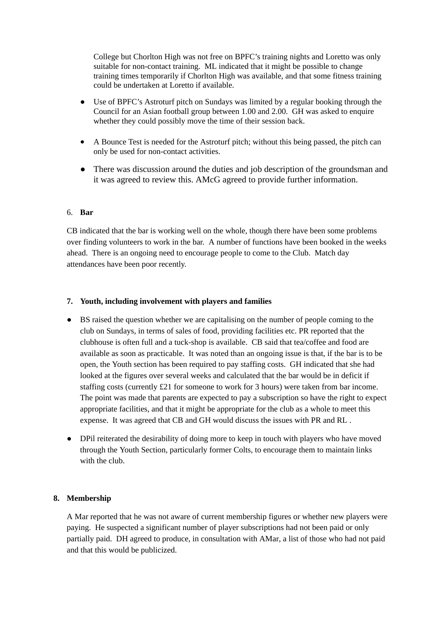College but Chorlton High was not free on BPFC's training nights and Loretto was only suitable for non-contact training. ML indicated that it might be possible to change training times temporarily if Chorlton High was available, and that some fitness training could be undertaken at Loretto if available.

- Use of BPFC's Astroturf pitch on Sundays was limited by a regular booking through the Council for an Asian football group between 1.00 and 2.00. GH was asked to enquire whether they could possibly move the time of their session back. ●
- A Bounce Test is needed for the Astroturf pitch; without this being passed, the pitch can only be used for non-contact activities. ●
- There was discussion around the duties and job description of the groundsman and it was agreed to review this. AMcG agreed to provide further information.

## 6. **Bar**

CB indicated that the bar is working well on the whole, though there have been some problems over finding volunteers to work in the bar. A number of functions have been booked in the weeks ahead. There is an ongoing need to encourage people to come to the Club. Match day attendances have been poor recently.

## **7. Youth, including involvement with players and families**

- BS raised the question whether we are capitalising on the number of people coming to the club on Sundays, in terms of sales of food, providing facilities etc. PR reported that the clubhouse is often full and a tuck-shop is available. CB said that tea/coffee and food are available as soon as practicable. It was noted than an ongoing issue is that, if the bar is to be open, the Youth section has been required to pay staffing costs. GH indicated that she had looked at the figures over several weeks and calculated that the bar would be in deficit if staffing costs (currently £21 for someone to work for 3 hours) were taken from bar income. The point was made that parents are expected to pay a subscription so have the right to expect appropriate facilities, and that it might be appropriate for the club as a whole to meet this expense. It was agreed that CB and GH would discuss the issues with PR and RL .
- DPil reiterated the desirability of doing more to keep in touch with players who have moved through the Youth Section, particularly former Colts, to encourage them to maintain links with the club.

## **8. Membership**

A Mar reported that he was not aware of current membership figures or whether new players were paying. He suspected a significant number of player subscriptions had not been paid or only partially paid. DH agreed to produce, in consultation with AMar, a list of those who had not paid and that this would be publicized.